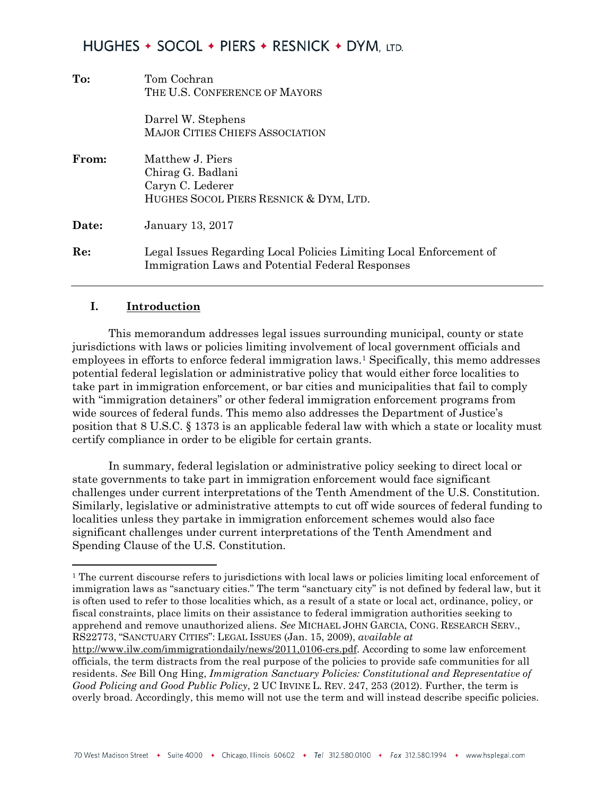| To:   | Tom Cochran<br>THE U.S. CONFERENCE OF MAYORS                                                                            |
|-------|-------------------------------------------------------------------------------------------------------------------------|
|       | Darrel W. Stephens<br><b>MAJOR CITIES CHIEFS ASSOCIATION</b>                                                            |
| From: | Matthew J. Piers<br>Chirag G. Badlani<br>Caryn C. Lederer<br>HUGHES SOCOL PIERS RESNICK & DYM, LTD.                     |
| Date: | <b>January 13, 2017</b>                                                                                                 |
| Re:   | Legal Issues Regarding Local Policies Limiting Local Enforcement of<br>Immigration Laws and Potential Federal Responses |

#### **I. Introduction**

 $\overline{\phantom{a}}$ 

This memorandum addresses legal issues surrounding municipal, county or state jurisdictions with laws or policies limiting involvement of local government officials and employees in efforts to enforce federal immigration laws.[1](#page-0-0) Specifically, this memo addresses potential federal legislation or administrative policy that would either force localities to take part in immigration enforcement, or bar cities and municipalities that fail to comply with "immigration detainers" or other federal immigration enforcement programs from wide sources of federal funds. This memo also addresses the Department of Justice's position that 8 U.S.C. § 1373 is an applicable federal law with which a state or locality must certify compliance in order to be eligible for certain grants.

In summary, federal legislation or administrative policy seeking to direct local or state governments to take part in immigration enforcement would face significant challenges under current interpretations of the Tenth Amendment of the U.S. Constitution. Similarly, legislative or administrative attempts to cut off wide sources of federal funding to localities unless they partake in immigration enforcement schemes would also face significant challenges under current interpretations of the Tenth Amendment and Spending Clause of the U.S. Constitution.

<span id="page-0-0"></span><sup>&</sup>lt;sup>1</sup> The current discourse refers to jurisdictions with local laws or policies limiting local enforcement of immigration laws as "sanctuary cities." The term "sanctuary city" is not defined by federal law, but it is often used to refer to those localities which, as a result of a state or local act, ordinance, policy, or fiscal constraints, place limits on their assistance to federal immigration authorities seeking to apprehend and remove unauthorized aliens. *See* MICHAEL JOHN GARCIA, CONG. RESEARCH SERV., RS22773, "SANCTUARY CITIES": LEGAL ISSUES (Jan. 15, 2009), *available at*

[http://www.ilw.com/immigrationdaily/news/2011,0106-crs.pdf.](http://www.ilw.com/immigrationdaily/news/2011,0106-crs.pdf) According to some law enforcement officials, the term distracts from the real purpose of the policies to provide safe communities for all residents. *See* Bill Ong Hing, *Immigration Sanctuary Policies: Constitutional and Representative of Good Policing and Good Public Policy*, 2 UC IRVINE L. REV. 247, 253 (2012). Further, the term is overly broad. Accordingly, this memo will not use the term and will instead describe specific policies.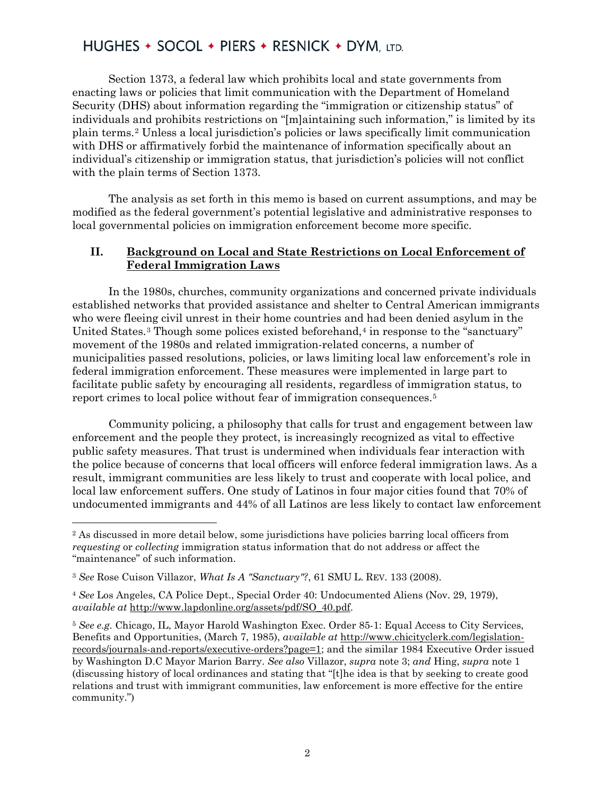Section 1373, a federal law which prohibits local and state governments from enacting laws or policies that limit communication with the Department of Homeland Security (DHS) about information regarding the "immigration or citizenship status" of individuals and prohibits restrictions on "[m]aintaining such information," is limited by its plain terms.[2](#page-1-0) Unless a local jurisdiction's policies or laws specifically limit communication with DHS or affirmatively forbid the maintenance of information specifically about an individual's *c*itizenship or immigration status, that jurisdiction's policies will not conflict with the plain terms of Section 1373.

The analysis as set forth in this memo is based on current assumptions, and may be modified as the federal government's potential legislative and administrative responses to local governmental policies on immigration enforcement become more specific.

#### **II. Background on Local and State Restrictions on Local Enforcement of Federal Immigration Laws**

In the 1980s, churches, community organizations and concerned private individuals established networks that provided assistance and shelter to Central American immigrants who were fleeing civil unrest in their home countries and had been denied asylum in the United States.<sup>[3](#page-1-1)</sup> Though some polices existed beforehand,<sup>[4](#page-1-2)</sup> in response to the "sanctuary" movement of the 1980s and related immigration-related concerns, a number of municipalities passed resolutions, policies, or laws limiting local law enforcement's role in federal immigration enforcement. These measures were implemented in large part to facilitate public safety by encouraging all residents, regardless of immigration status, to report crimes to local police without fear of immigration consequences.[5](#page-1-3)

Community policing, a philosophy that calls for trust and engagement between law enforcement and the people they protect, is increasingly recognized as vital to effective public safety measures. That trust is undermined when individuals fear interaction with the police because of concerns that local officers will enforce federal immigration laws. As a result, immigrant communities are less likely to trust and cooperate with local police, and local law enforcement suffers. One study of Latinos in four major cities found that 70% of undocumented immigrants and 44% of all Latinos are less likely to contact law enforcement

<span id="page-1-0"></span><sup>2</sup> As discussed in more detail below, some jurisdictions have policies barring local officers from *requesting* or *collecting* immigration status information that do not address or affect the "maintenance" of such information.

<span id="page-1-1"></span><sup>3</sup> *See* Rose Cuison Villazor, *What Is A "Sanctuary"?*, 61 SMU L. REV. 133 (2008).

<span id="page-1-2"></span><sup>4</sup> *See* Los Angeles, CA Police Dept., Special Order 40: Undocumented Aliens (Nov. 29, 1979), *available at* [http://www.lapdonline.org/assets/pdf/SO\\_40.pdf.](http://www.lapdonline.org/assets/pdf/SO_40.pdf)

<span id="page-1-3"></span><sup>5</sup> *See e.g.* Chicago, IL, Mayor Harold Washington Exec. Order 85-1: Equal Access to City Services, Benefits and Opportunities, (March 7, 1985), *available at* [http://www.chicityclerk.com/legislation](http://www.chicityclerk.com/legislation-records/journals-and-reports/executive-orders?page=1)[records/journals-and-reports/executive-orders?page=1;](http://www.chicityclerk.com/legislation-records/journals-and-reports/executive-orders?page=1) and the similar 1984 Executive Order issued by Washington D.C Mayor Marion Barry. *See also* Villazor, *supra* note 3; *and* Hing, *supra* note 1 (discussing history of local ordinances and stating that "[t]he idea is that by seeking to create good relations and trust with immigrant communities, law enforcement is more effective for the entire community.")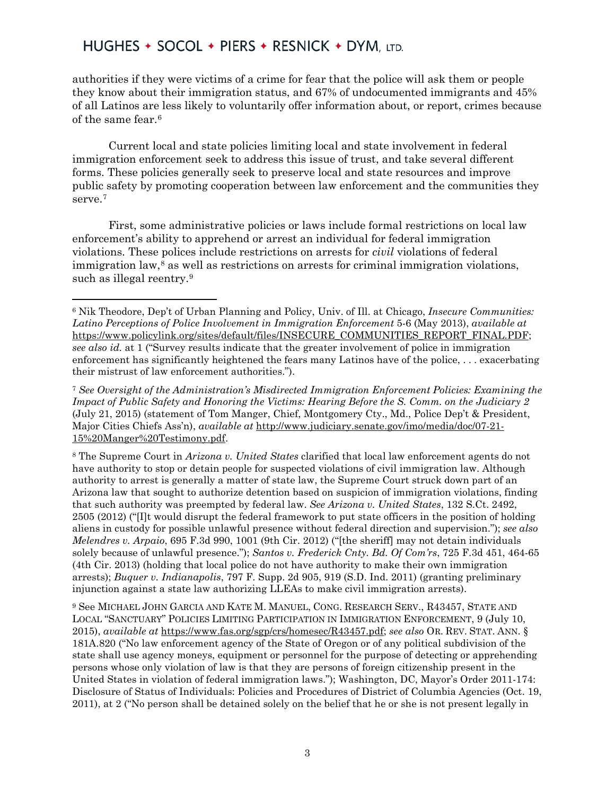l

authorities if they were victims of a crime for fear that the police will ask them or people they know about their immigration status, and 67% of undocumented immigrants and 45% of all Latinos are less likely to voluntarily offer information about, or report, crimes because of the same fear.[6](#page-2-0)

Current local and state policies limiting local and state involvement in federal immigration enforcement seek to address this issue of trust, and take several different forms. These policies generally seek to preserve local and state resources and improve public safety by promoting cooperation between law enforcement and the communities they serve.<sup>7</sup>

First, some administrative policies or laws include formal restrictions on local law enforcement's ability to apprehend or arrest an individual for federal immigration violations. These polices include restrictions on arrests for *civil* violations of federal immigration law, $\delta$  as well as restrictions on arrests for criminal immigration violations, such as illegal reentry.<sup>9</sup>

<span id="page-2-2"></span><sup>8</sup> The Supreme Court in *Arizona v. United States* clarified that local law enforcement agents do not have authority to stop or detain people for suspected violations of civil immigration law. Although authority to arrest is generally a matter of state law, the Supreme Court struck down part of an Arizona law that sought to authorize detention based on suspicion of immigration violations, finding that such authority was preempted by federal law. *See Arizona v. United States*, 132 S.Ct. 2492, 2505 (2012) ("[I]t would disrupt the federal framework to put state officers in the position of holding aliens in custody for possible unlawful presence without federal direction and supervision."); *see also Melendres v. Arpaio*, 695 F.3d 990, 1001 (9th Cir. 2012) ("[the sheriff] may not detain individuals solely because of unlawful presence."); *Santos v. Frederick Cnty. Bd. Of Com'rs*, 725 F.3d 451, 464-65 (4th Cir. 2013) (holding that local police do not have authority to make their own immigration arrests); *Buquer v. Indianapolis*, 797 F. Supp. 2d 905, 919 (S.D. Ind. 2011) (granting preliminary injunction against a state law authorizing LLEAs to make civil immigration arrests).

<span id="page-2-3"></span><sup>9</sup> See MICHAEL JOHN GARCIA AND KATE M. MANUEL, CONG. RESEARCH SERV., R43457, STATE AND LOCAL "SANCTUARY" POLICIES LIMITING PARTICIPATION IN IMMIGRATION ENFORCEMENT, 9 (July 10, 2015), *available at* [https://www.fas.org/sgp/crs/homesec/R43457.pdf;](https://www.fas.org/sgp/crs/homesec/R43457.pdf) *see also* OR. REV. STAT. ANN. § 181A.820 ("No law enforcement agency of the State of Oregon or of any political subdivision of the state shall use agency moneys, equipment or personnel for the purpose of detecting or apprehending persons whose only violation of law is that they are persons of foreign citizenship present in the United States in violation of federal immigration laws."); Washington, DC, Mayor's Order 2011-174: Disclosure of Status of Individuals: Policies and Procedures of District of Columbia Agencies (Oct. 19, 2011), at 2 ("No person shall be detained solely on the belief that he or she is not present legally in

<span id="page-2-0"></span><sup>6</sup> Nik Theodore, Dep't of Urban Planning and Policy, Univ. of Ill. at Chicago, *Insecure Communities: Latino Perceptions of Police Involvement in Immigration Enforcement* 5-6 (May 2013), *available at* [https://www.policylink.org/sites/default/files/INSECURE\\_COMMUNITIES\\_REPORT\\_FINAL.PDF;](https://www.policylink.org/sites/default/files/INSECURE_COMMUNITIES_REPORT_FINAL.PDF) *see also id.* at 1 ("Survey results indicate that the greater involvement of police in immigration enforcement has significantly heightened the fears many Latinos have of the police, . . . exacerbating their mistrust of law enforcement authorities.").

<span id="page-2-1"></span><sup>7</sup> *See Oversight of the Administration's Misdirected Immigration Enforcement Policies: Examining the Impact of Public Safety and Honoring the Victims: Hearing Before the S. Comm. on the Judiciary 2* (July 21, 2015) (statement of Tom Manger, Chief, Montgomery Cty., Md., Police Dep't & President, Major Cities Chiefs Ass'n), *available at* [http://www.judiciary.senate.gov/imo/media/doc/07-21-](http://www.judiciary.senate.gov/imo/media/doc/07-21-15%20Manger%20Testimony.pdf) [15%20Manger%20Testimony.pdf.](http://www.judiciary.senate.gov/imo/media/doc/07-21-15%20Manger%20Testimony.pdf)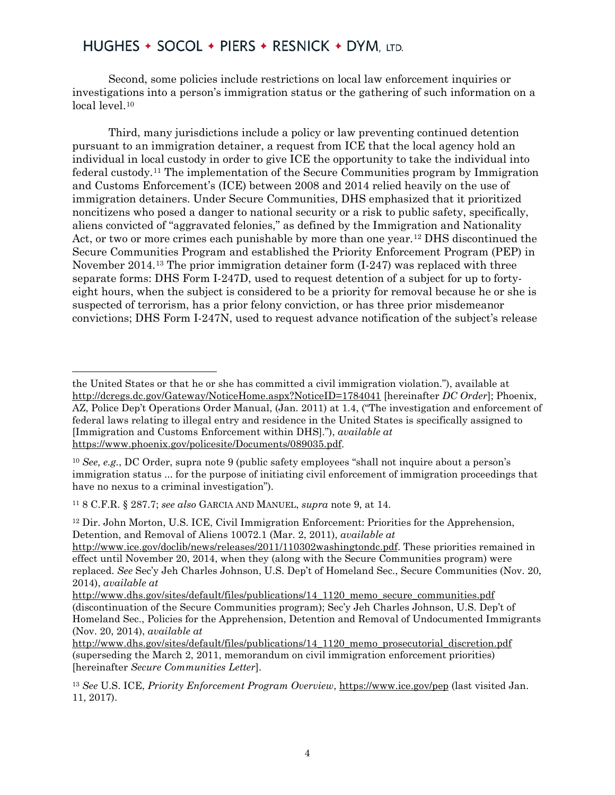Second, some policies include restrictions on local law enforcement inquiries or investigations into a person's immigration status or the gathering of such information on a local level.<sup>10</sup>

Third, many jurisdictions include a policy or law preventing continued detention pursuant to an immigration detainer, a request from ICE that the local agency hold an individual in local custody in order to give ICE the opportunity to take the individual into federal custody.[11](#page-3-1) The implementation of the Secure Communities program by Immigration and Customs Enforcement's (ICE) between 2008 and 2014 relied heavily on the use of immigration detainers. Under Secure Communities, DHS emphasized that it prioritized noncitizens who posed a danger to national security or a risk to public safety, specifically, aliens convicted of "aggravated felonies," as defined by the Immigration and Nationality Act, or two or more crimes each punishable by more than one year.[12](#page-3-2) DHS discontinued the Secure Communities Program and established the Priority Enforcement Program (PEP) in November 2014.[13](#page-3-3) The prior immigration detainer form (I-247) was replaced with three separate forms: DHS Form I-247D, used to request detention of a subject for up to fortyeight hours, when the subject is considered to be a priority for removal because he or she is suspected of terrorism, has a prior felony conviction, or has three prior misdemeanor convictions; DHS Form I-247N, used to request advance notification of the subject's release

<span id="page-3-2"></span><sup>12</sup> Dir. John Morton, U.S. ICE, Civil Immigration Enforcement: Priorities for the Apprehension, Detention, and Removal of Aliens 10072.1 (Mar. 2, 2011), *available at*

 $\overline{\phantom{a}}$ the United States or that he or she has committed a civil immigration violation."), available at <http://dcregs.dc.gov/Gateway/NoticeHome.aspx?NoticeID=1784041> [hereinafter *DC Order*]; Phoenix, AZ, Police Dep't Operations Order Manual, (Jan. 2011) at 1.4, ("The investigation and enforcement of federal laws relating to illegal entry and residence in the United States is specifically assigned to [Immigration and Customs Enforcement within DHS]."), *available at* [https://www.phoenix.gov/policesite/Documents/089035.pdf.](https://www.phoenix.gov/policesite/Documents/089035.pdf)

<span id="page-3-0"></span><sup>10</sup> *See, e.g.*, DC Order, supra note 9 (public safety employees "shall not inquire about a person's immigration status ... for the purpose of initiating civil enforcement of immigration proceedings that have no nexus to a criminal investigation").

<span id="page-3-1"></span><sup>11</sup> 8 C.F.R. § 287.7; *see also* GARCIA AND MANUEL, *supra* note 9, at 14.

[http://www.ice.gov/doclib/news/releases/2011/110302washingtondc.pdf.](http://www.ice.gov/doclib/news/releases/2011/110302washingtondc.pdf) These priorities remained in effect until November 20, 2014, when they (along with the Secure Communities program) were replaced. *See* Sec'y Jeh Charles Johnson, U.S. Dep't of Homeland Sec., Secure Communities (Nov. 20, 2014), *available at*

[http://www.dhs.gov/sites/default/files/publications/14\\_1120\\_memo\\_secure\\_communities.pdf](http://www.dhs.gov/sites/default/files/publications/14_1120_memo_secure_communities.pdf) (discontinuation of the Secure Communities program); Sec'y Jeh Charles Johnson, U.S. Dep't of Homeland Sec., Policies for the Apprehension, Detention and Removal of Undocumented Immigrants (Nov. 20, 2014), *available at*

[http://www.dhs.gov/sites/default/files/publications/14\\_1120\\_memo\\_prosecutorial\\_discretion.pdf](http://www.dhs.gov/sites/default/files/publications/14_1120_memo_prosecutorial_discretion.pdf) (superseding the March 2, 2011, memorandum on civil immigration enforcement priorities) [hereinafter *Secure Communities Letter*].

<span id="page-3-3"></span><sup>13</sup> *See* U.S. ICE, *Priority Enforcement Program Overview*,<https://www.ice.gov/pep> (last visited Jan. 11, 2017).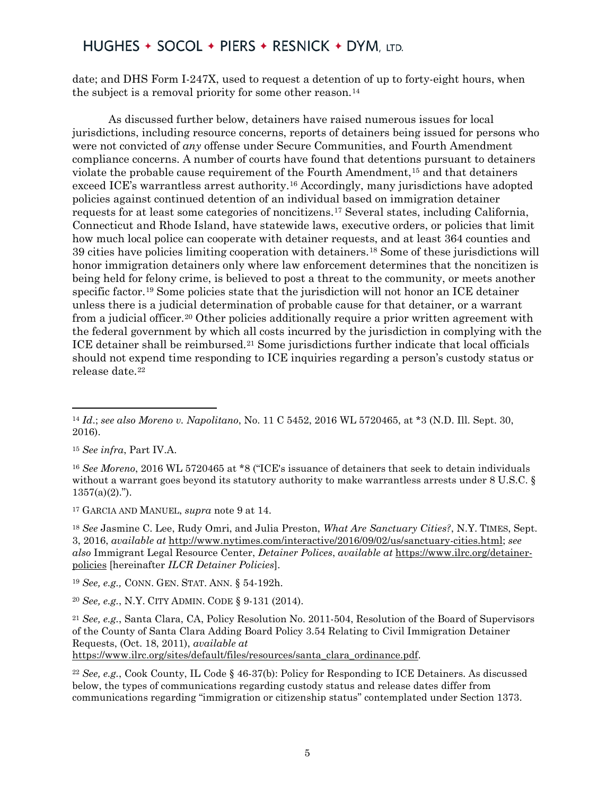date; and DHS Form I-247X, used to request a detention of up to forty-eight hours, when the subject is a removal priority for some other reason.<sup>[14](#page-4-0)</sup>

As discussed further below, detainers have raised numerous issues for local jurisdictions, including resource concerns, reports of detainers being issued for persons who were not convicted of *any* offense under Secure Communities, and Fourth Amendment compliance concerns. A number of courts have found that detentions pursuant to detainers violate the probable cause requirement of the Fourth Amendment,[15](#page-4-1) and that detainers exceed ICE's warrantless arrest authority[.16](#page-4-2) Accordingly, many jurisdictions have adopted policies against continued detention of an individual based on immigration detainer requests for at least some categories of noncitizens.[17](#page-4-3) Several states, including California, Connecticut and Rhode Island, have statewide laws, executive orders, or policies that limit how much local police can cooperate with detainer requests, and at least 364 counties and 39 cities have policies limiting cooperation with detainers.[18](#page-4-4) Some of these jurisdictions will honor immigration detainers only where law enforcement determines that the noncitizen is being held for felony crime, is believed to post a threat to the community, or meets another specific factor.[19](#page-4-5) Some policies state that the jurisdiction will not honor an ICE detainer unless there is a judicial determination of probable cause for that detainer, or a warrant from a judicial officer.[20](#page-4-6) Other policies additionally require a prior written agreement with the federal government by which all costs incurred by the jurisdiction in complying with the ICE detainer shall be reimbursed.[21](#page-4-7) Some jurisdictions further indicate that local officials should not expend time responding to ICE inquiries regarding a person's custody status or release date.<sup>[22](#page-4-8)</sup>

<span id="page-4-1"></span><sup>15</sup> *See infra*, Part IV.A.

 $\overline{\phantom{a}}$ 

<span id="page-4-2"></span><sup>16</sup> *See Moreno*, 2016 WL 5720465 at \*8 ("ICE's issuance of detainers that seek to detain individuals without a warrant goes beyond its statutory authority to make warrantless arrests under 8 U.S.C. §  $1357(a)(2)$ .").

<span id="page-4-3"></span><sup>17</sup> GARCIA AND MANUEL, *supra* note 9 at 14.

<span id="page-4-4"></span><sup>18</sup> *See* Jasmine C. Lee, Rudy Omri, and Julia Preston, *What Are Sanctuary Cities?*, N.Y. TIMES, Sept. 3, 2016, *available at* [http://www.nytimes.com/interactive/2016/09/02/us/sanctuary-cities.html;](http://www.nytimes.com/interactive/2016/09/02/us/sanctuary-cities.html) *see also* Immigrant Legal Resource Center, *Detainer Polices*, *available at* [https://www.ilrc.org/detainer](https://www.ilrc.org/detainer-policies)[policies](https://www.ilrc.org/detainer-policies) [hereinafter *ILCR Detainer Policies*].

<span id="page-4-5"></span><sup>19</sup> *See, e.g.,* CONN. GEN. STAT. ANN. § 54-192h.

<span id="page-4-6"></span><sup>20</sup> *See, e.g.*, N.Y. CITY ADMIN. CODE § 9-131 (2014).

<span id="page-4-7"></span><sup>21</sup> *See, e.g.*, Santa Clara, CA, Policy Resolution No. 2011-504, Resolution of the Board of Supervisors of the County of Santa Clara Adding Board Policy 3.54 Relating to Civil Immigration Detainer Requests, (Oct. 18, 2011), *available at*

[https://www.ilrc.org/sites/default/files/resources/santa\\_clara\\_ordinance.pdf.](https://www.ilrc.org/sites/default/files/resources/santa_clara_ordinance.pdf)

<span id="page-4-8"></span><sup>22</sup> *See, e.g.*, Cook County, IL Code § 46-37(b): Policy for Responding to ICE Detainers. As discussed below, the types of communications regarding custody status and release dates differ from communications regarding "immigration or citizenship status" contemplated under Section 1373.

<span id="page-4-0"></span><sup>14</sup> *Id*.; *see also Moreno v. Napolitano*, No. 11 C 5452, 2016 WL 5720465, at \*3 (N.D. Ill. Sept. 30, 2016).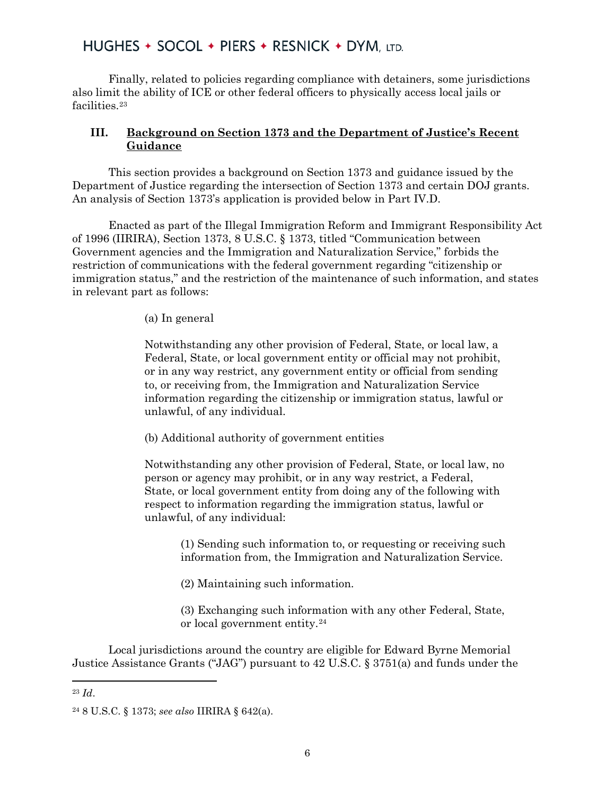Finally, related to policies regarding compliance with detainers, some jurisdictions also limit the ability of ICE or other federal officers to physically access local jails or facilities.<sup>[23](#page-5-0)</sup>

#### **III. Background on Section 1373 and the Department of Justice's Recent Guidance**

This section provides a background on Section 1373 and guidance issued by the Department of Justice regarding the intersection of Section 1373 and certain DOJ grants. An analysis of Section 1373's application is provided below in Part IV.D.

Enacted as part of the Illegal Immigration Reform and Immigrant Responsibility Act of 1996 (IIRIRA), Section 1373, 8 U.S.C. § 1373, titled "Communication between Government agencies and the Immigration and Naturalization Service," forbids the restriction of communications with the federal government regarding "citizenship or immigration status," and the restriction of the maintenance of such information, and states in relevant part as follows:

(a) In general

Notwithstanding any other provision of Federal, State, or local law, a Federal, State, or local government entity or official may not prohibit, or in any way restrict, any government entity or official from sending to, or receiving from, the Immigration and Naturalization Service information regarding the citizenship or immigration status, lawful or unlawful, of any individual.

(b) Additional authority of government entities

Notwithstanding any other provision of Federal, State, or local law, no person or agency may prohibit, or in any way restrict, a Federal, State, or local government entity from doing any of the following with respect to information regarding the immigration status, lawful or unlawful, of any individual:

(1) Sending such information to, or requesting or receiving such information from, the Immigration and Naturalization Service.

(2) Maintaining such information.

(3) Exchanging such information with any other Federal, State, or local government entity.[24](#page-5-1)

Local jurisdictions around the country are eligible for Edward Byrne Memorial Justice Assistance Grants ("JAG") pursuant to 42 U.S.C. § 3751(a) and funds under the

 $\overline{a}$ 

<span id="page-5-0"></span><sup>23</sup> *Id*.

<span id="page-5-1"></span><sup>24</sup> 8 U.S.C. § 1373; *see also* IIRIRA § 642(a).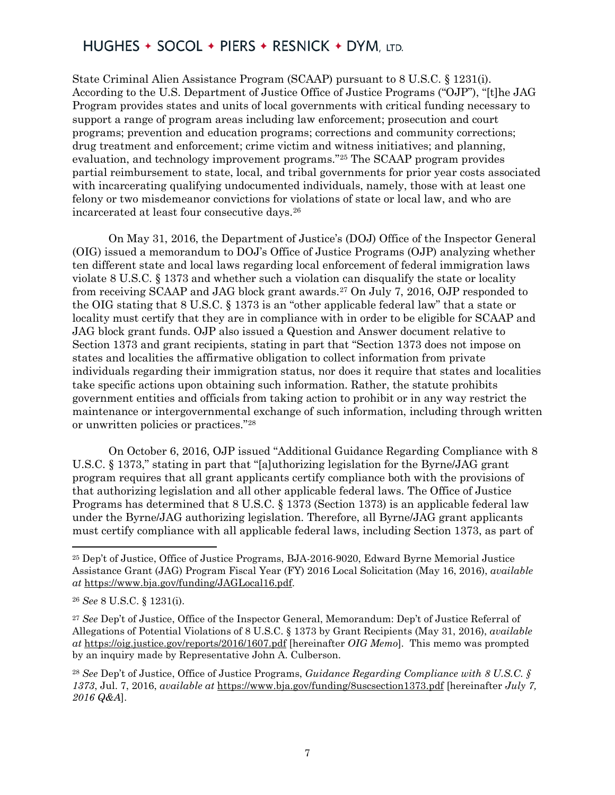State Criminal Alien Assistance Program (SCAAP) pursuant to 8 U.S.C. § 1231(i). According to the U.S. Department of Justice Office of Justice Programs ("OJP"), "[t]he JAG Program provides states and units of local governments with critical funding necessary to support a range of program areas including law enforcement; prosecution and court programs; prevention and education programs; corrections and community corrections; drug treatment and enforcement; crime victim and witness initiatives; and planning, evaluation, and technology improvement programs."[25](#page-6-0) The SCAAP program provides partial reimbursement to state, local, and tribal governments for prior year costs associated with incarcerating qualifying undocumented individuals, namely, those with at least one felony or two misdemeanor convictions for violations of state or local law, and who are incarcerated at least four consecutive days.[26](#page-6-1)

On May 31, 2016, the Department of Justice's (DOJ) Office of the Inspector General (OIG) issued a memorandum to DOJ's Office of Justice Programs (OJP) analyzing whether ten different state and local laws regarding local enforcement of federal immigration laws violate 8 U.S.C. § 1373 and whether such a violation can disqualify the state or locality from receiving SCAAP and JAG block grant awards.[27](#page-6-2) On July 7, 2016, OJP responded to the OIG stating that 8 U.S.C. § 1373 is an "other applicable federal law" that a state or locality must certify that they are in compliance with in order to be eligible for SCAAP and JAG block grant funds. OJP also issued a Question and Answer document relative to Section 1373 and grant recipients, stating in part that "Section 1373 does not impose on states and localities the affirmative obligation to collect information from private individuals regarding their immigration status, nor does it require that states and localities take specific actions upon obtaining such information. Rather, the statute prohibits government entities and officials from taking action to prohibit or in any way restrict the maintenance or intergovernmental exchange of such information, including through written or unwritten policies or practices."[28](#page-6-3) 

On October 6, 2016, OJP issued "Additional Guidance Regarding Compliance with 8 U.S.C. § 1373," stating in part that "[a]uthorizing legislation for the Byrne/JAG grant program requires that all grant applicants certify compliance both with the provisions of that authorizing legislation and all other applicable federal laws. The Office of Justice Programs has determined that 8 U.S.C. § 1373 (Section 1373) is an applicable federal law under the Byrne/JAG authorizing legislation. Therefore, all Byrne/JAG grant applicants must certify compliance with all applicable federal laws, including Section 1373, as part of

<span id="page-6-0"></span><sup>25</sup> Dep't of Justice, Office of Justice Programs, BJA-2016-9020, Edward Byrne Memorial Justice Assistance Grant (JAG) Program Fiscal Year (FY) 2016 Local Solicitation (May 16, 2016), *available at* [https://www.bja.gov/funding/JAGLocal16.pdf.](https://www.bja.gov/funding/JAGLocal16.pdf)

<span id="page-6-1"></span><sup>26</sup> *See* 8 U.S.C. § 1231(i).

<span id="page-6-2"></span><sup>27</sup> *See* Dep't of Justice, Office of the Inspector General, Memorandum: Dep't of Justice Referral of Allegations of Potential Violations of 8 U.S.C. § 1373 by Grant Recipients (May 31, 2016), *available at* <https://oig.justice.gov/reports/2016/1607.pdf> [hereinafter *OIG Memo*]*.* This memo was prompted by an inquiry made by Representative John A. Culberson.

<span id="page-6-3"></span><sup>28</sup> *See* Dep't of Justice, Office of Justice Programs, *Guidance Regarding Compliance with 8 U.S.C. § 1373*, Jul. 7, 2016, *available at* <https://www.bja.gov/funding/8uscsection1373.pdf> [hereinafter *July 7, 2016 Q&A*].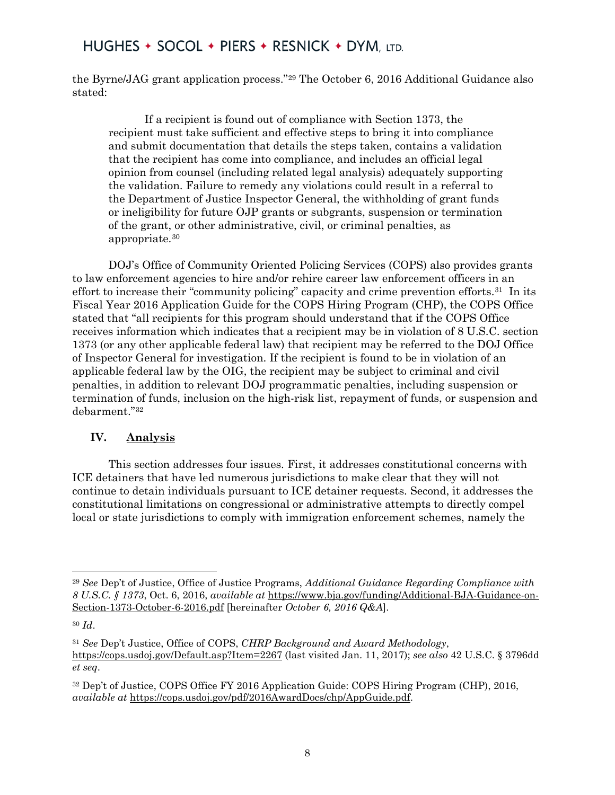the Byrne/JAG grant application process."[29](#page-7-0) The October 6, 2016 Additional Guidance also stated:

If a recipient is found out of compliance with Section 1373, the recipient must take sufficient and effective steps to bring it into compliance and submit documentation that details the steps taken, contains a validation that the recipient has come into compliance, and includes an official legal opinion from counsel (including related legal analysis) adequately supporting the validation. Failure to remedy any violations could result in a referral to the Department of Justice Inspector General, the withholding of grant funds or ineligibility for future OJP grants or subgrants, suspension or termination of the grant, or other administrative, civil, or criminal penalties, as appropriate.[30](#page-7-1)

DOJ's Office of Community Oriented Policing Services (COPS) also provides grants to law enforcement agencies to hire and/or rehire career law enforcement officers in an effort to increase their "community policing" capacity and crime prevention efforts.<sup>31</sup> In its Fiscal Year 2016 Application Guide for the COPS Hiring Program (CHP), the COPS Office stated that "all recipients for this program should understand that if the COPS Office receives information which indicates that a recipient may be in violation of 8 U.S.C. section 1373 (or any other applicable federal law) that recipient may be referred to the DOJ Office of Inspector General for investigation. If the recipient is found to be in violation of an applicable federal law by the OIG, the recipient may be subject to criminal and civil penalties, in addition to relevant DOJ programmatic penalties, including suspension or termination of funds, inclusion on the high-risk list, repayment of funds, or suspension and debarment."[32](#page-7-3)

#### **IV. Analysis**

This section addresses four issues. First, it addresses constitutional concerns with ICE detainers that have led numerous jurisdictions to make clear that they will not continue to detain individuals pursuant to ICE detainer requests. Second, it addresses the constitutional limitations on congressional or administrative attempts to directly compel local or state jurisdictions to comply with immigration enforcement schemes, namely the

<span id="page-7-0"></span><sup>29</sup> *See* Dep't of Justice, Office of Justice Programs, *Additional Guidance Regarding Compliance with 8 U.S.C. § 1373*, Oct. 6, 2016, *available at* [https://www.bja.gov/funding/Additional-BJA-Guidance-on-](https://www.bja.gov/funding/Additional-BJA-Guidance-on-Section-1373-October-6-2016.pdf)[Section-1373-October-6-2016.pdf](https://www.bja.gov/funding/Additional-BJA-Guidance-on-Section-1373-October-6-2016.pdf) [hereinafter *October 6, 2016 Q&A*].

<span id="page-7-1"></span><sup>30</sup> *Id*.

<span id="page-7-2"></span><sup>31</sup> *See* Dep't Justice, Office of COPS, *CHRP Background and Award Methodology*, <https://cops.usdoj.gov/Default.asp?Item=2267> (last visited Jan. 11, 2017); *see also* 42 U.S.C. § 3796dd *et seq*.

<span id="page-7-3"></span><sup>32</sup> Dep't of Justice, COPS Office FY 2016 Application Guide: COPS Hiring Program (CHP), 2016, *available at* [https://cops.usdoj.gov/pdf/2016AwardDocs/chp/AppGuide.pdf.](https://cops.usdoj.gov/pdf/2016AwardDocs/chp/AppGuide.pdf)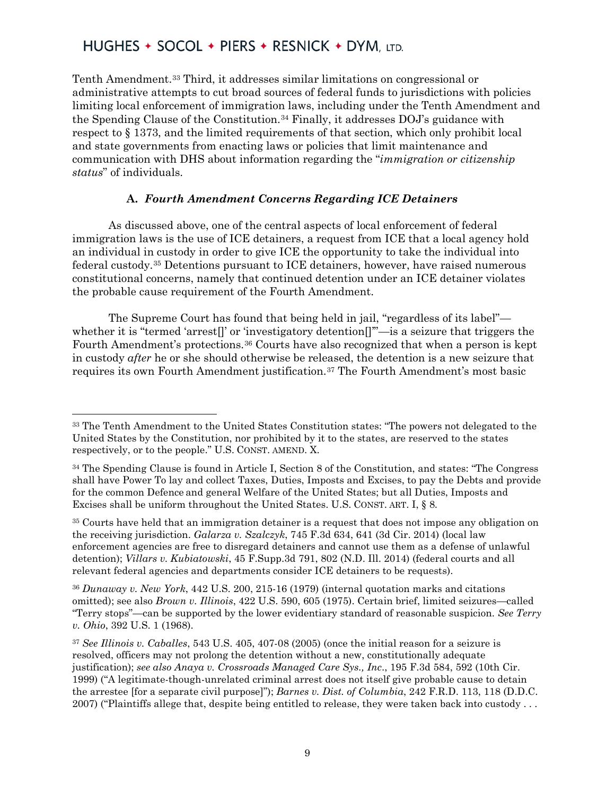Tenth Amendment.[33](#page-8-0) Third, it addresses similar limitations on congressional or administrative attempts to cut broad sources of federal funds to jurisdictions with policies limiting local enforcement of immigration laws, including under the Tenth Amendment and the Spending Clause of the Constitution.[34](#page-8-1) Finally, it addresses DOJ's guidance with respect to § 1373, and the limited requirements of that section, which only prohibit local and state governments from enacting laws or policies that limit maintenance and communication with DHS about information regarding the "*immigration or citizenship status*" of individuals.

#### **A.** *Fourth Amendment Concerns Regarding ICE Detainers*

As discussed above, one of the central aspects of local enforcement of federal immigration laws is the use of ICE detainers, a request from ICE that a local agency hold an individual in custody in order to give ICE the opportunity to take the individual into federal custody.[35](#page-8-2) Detentions pursuant to ICE detainers, however, have raised numerous constitutional concerns, namely that continued detention under an ICE detainer violates the probable cause requirement of the Fourth Amendment.

The Supreme Court has found that being held in jail, "regardless of its label" whether it is "termed 'arrest[]' or 'investigatory detention[]'"—is a seizure that triggers the Fourth Amendment's protections.[36](#page-8-3) Courts have also recognized that when a person is kept in custody *after* he or she should otherwise be released, the detention is a new seizure that requires its own Fourth Amendment justification.[37](#page-8-4) The Fourth Amendment's most basic

 $\overline{\phantom{a}}$ 

<span id="page-8-3"></span><sup>36</sup> *Dunaway v. New York*, 442 U.S. 200, 215-16 (1979) (internal quotation marks and citations omitted); see also *Brown v. Illinois*, 422 U.S. 590, 605 (1975). Certain brief, limited seizures—called "Terry stops"—can be supported by the lower evidentiary standard of reasonable suspicion. *See Terry v. Ohio*, 392 U.S. 1 (1968).

<span id="page-8-0"></span><sup>33</sup> The Tenth Amendment to the United States Constitution states: "The powers not delegated to the United States by the Constitution, nor prohibited by it to the states, are reserved to the states respectively, or to the people." U.S. CONST. AMEND. X.

<span id="page-8-1"></span><sup>34</sup> The Spending Clause is found in Article I, Section 8 of the Constitution, and states: "The Congress shall have Power To lay and collect Taxes, Duties, Imposts and Excises, to pay the Debts and provide for the common Defence and general Welfare of the United States; but all Duties, Imposts and Excises shall be uniform throughout the United States. U.S. CONST. ART. I, § 8.

<span id="page-8-2"></span><sup>35</sup> Courts have held that an immigration detainer is a request that does not impose any obligation on the receiving jurisdiction. *Galarza v. Szalczyk*, 745 F.3d 634, 641 (3d Cir. 2014) (local law enforcement agencies are free to disregard detainers and cannot use them as a defense of unlawful detention); *Villars v. Kubiatowski*, 45 F.Supp.3d 791, 802 (N.D. Ill. 2014) (federal courts and all relevant federal agencies and departments consider ICE detainers to be requests).

<span id="page-8-4"></span><sup>37</sup> *See Illinois v. Caballes*, 543 U.S. 405, 407-08 (2005) (once the initial reason for a seizure is resolved, officers may not prolong the detention without a new, constitutionally adequate justification); *see also Anaya v. Crossroads Managed Care Sys., Inc*., 195 F.3d 584, 592 (10th Cir. 1999) ("A legitimate-though-unrelated criminal arrest does not itself give probable cause to detain the arrestee [for a separate civil purpose]"); *Barnes v. Dist. of Columbia*, 242 F.R.D. 113, 118 (D.D.C. 2007) ("Plaintiffs allege that, despite being entitled to release, they were taken back into custody . . .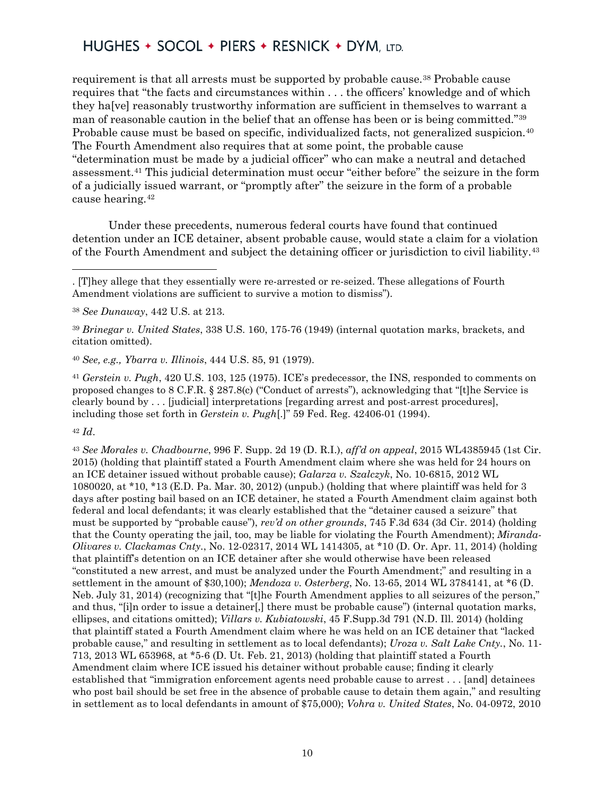requirement is that all arrests must be supported by probable cause.<sup>[38](#page-9-0)</sup> Probable cause requires that "the facts and circumstances within . . . the officers' knowledge and of which they ha[ve] reasonably trustworthy information are sufficient in themselves to warrant a man of reasonable caution in the belief that an offense has been or is being committed."[39](#page-9-1) Probable cause must be based on specific, individualized facts, not generalized suspicion.<sup>[40](#page-9-2)</sup> The Fourth Amendment also requires that at some point, the probable cause "determination must be made by a judicial officer" who can make a neutral and detached assessment.[41](#page-9-3) This judicial determination must occur "either before" the seizure in the form of a judicially issued warrant, or "promptly after" the seizure in the form of a probable cause hearing.[42](#page-9-4)

Under these precedents, numerous federal courts have found that continued detention under an ICE detainer, absent probable cause, would state a claim for a violation of the Fourth Amendment and subject the detaining officer or jurisdiction to civil liability.[43](#page-9-5)

<span id="page-9-1"></span><sup>39</sup> *Brinegar v. United States*, 338 U.S. 160, 175-76 (1949) (internal quotation marks, brackets, and citation omitted).

<span id="page-9-2"></span><sup>40</sup> *See, e.g., Ybarra v. Illinois*, 444 U.S. 85, 91 (1979).

<span id="page-9-3"></span><sup>41</sup> *Gerstein v. Pugh*, 420 U.S. 103, 125 (1975). ICE's predecessor, the INS, responded to comments on proposed changes to 8 C.F.R. § 287.8(c) ("Conduct of arrests"), acknowledging that "[t]he Service is clearly bound by . . . [judicial] interpretations [regarding arrest and post-arrest procedures], including those set forth in *Gerstein v. Pugh*[.]" 59 Fed. Reg. 42406-01 (1994).

<span id="page-9-4"></span><sup>42</sup> *Id*.

l

<span id="page-9-5"></span><sup>43</sup> *See Morales v. Chadbourne*, 996 F. Supp. 2d 19 (D. R.I.), *aff'd on appeal*, 2015 WL4385945 (1st Cir. 2015) (holding that plaintiff stated a Fourth Amendment claim where she was held for 24 hours on an ICE detainer issued without probable cause); *Galarza v. Szalczyk*, No. 10-6815, 2012 WL 1080020, at \*10, \*13 (E.D. Pa. Mar. 30, 2012) (unpub.) (holding that where plaintiff was held for 3 days after posting bail based on an ICE detainer, he stated a Fourth Amendment claim against both federal and local defendants; it was clearly established that the "detainer caused a seizure" that must be supported by "probable cause"), *rev'd on other grounds*, 745 F.3d 634 (3d Cir. 2014) (holding that the County operating the jail, too, may be liable for violating the Fourth Amendment); *Miranda-Olivares v. Clackamas Cnty.*, No. 12-02317, 2014 WL 1414305, at \*10 (D. Or. Apr. 11, 2014) (holding that plaintiff's detention on an ICE detainer after she would otherwise have been released "constituted a new arrest, and must be analyzed under the Fourth Amendment;" and resulting in a settlement in the amount of \$30,100); *Mendoza v. Osterberg*, No. 13-65, 2014 WL 3784141, at \*6 (D. Neb. July 31, 2014) (recognizing that "[t]he Fourth Amendment applies to all seizures of the person," and thus, "[i]n order to issue a detainer[,] there must be probable cause") (internal quotation marks, ellipses, and citations omitted); *Villars v. Kubiatowski*, 45 F.Supp.3d 791 (N.D. Ill. 2014) (holding that plaintiff stated a Fourth Amendment claim where he was held on an ICE detainer that "lacked probable cause," and resulting in settlement as to local defendants); *Uroza v. Salt Lake Cnty.*, No. 11- 713, 2013 WL 653968, at \*5-6 (D. Ut. Feb. 21, 2013) (holding that plaintiff stated a Fourth Amendment claim where ICE issued his detainer without probable cause; finding it clearly established that "immigration enforcement agents need probable cause to arrest . . . [and] detainees who post bail should be set free in the absence of probable cause to detain them again," and resulting in settlement as to local defendants in amount of \$75,000); *Vohra v. United States*, No. 04-0972, 2010

<sup>. [</sup>T]hey allege that they essentially were re-arrested or re-seized. These allegations of Fourth Amendment violations are sufficient to survive a motion to dismiss").

<span id="page-9-0"></span><sup>38</sup> *See Dunaway*, 442 U.S. at 213.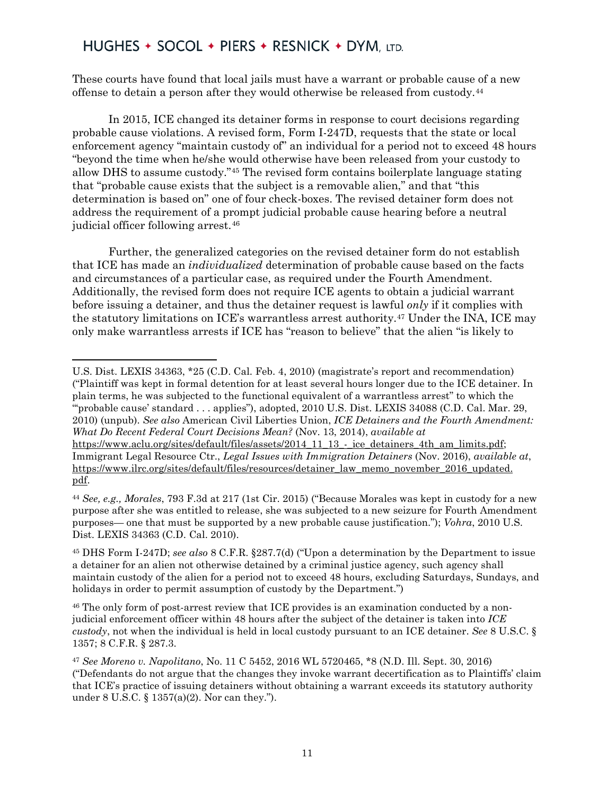These courts have found that local jails must have a warrant or probable cause of a new offense to detain a person after they would otherwise be released from custody.[44](#page-10-0)

In 2015, ICE changed its detainer forms in response to court decisions regarding probable cause violations. A revised form, Form I-247D, requests that the state or local enforcement agency "maintain custody of" an individual for a period not to exceed 48 hours "beyond the time when he/she would otherwise have been released from your custody to allow DHS to assume custody."[45](#page-10-1) The revised form contains boilerplate language stating that "probable cause exists that the subject is a removable alien," and that "this determination is based on" one of four check-boxes. The revised detainer form does not address the requirement of a prompt judicial probable cause hearing before a neutral judicial officer following arrest.<sup>[46](#page-10-2)</sup>

Further, the generalized categories on the revised detainer form do not establish that ICE has made an *individualized* determination of probable cause based on the facts and circumstances of a particular case, as required under the Fourth Amendment. Additionally, the revised form does not require ICE agents to obtain a judicial warrant before issuing a detainer, and thus the detainer request is lawful *only* if it complies with the statutory limitations on ICE's warrantless arrest authority.[47](#page-10-3) Under the INA, ICE may only make warrantless arrests if ICE has "reason to believe" that the alien "is likely to

 $\overline{\phantom{a}}$ U.S. Dist. LEXIS 34363, \*25 (C.D. Cal. Feb. 4, 2010) (magistrate's report and recommendation) ("Plaintiff was kept in formal detention for at least several hours longer due to the ICE detainer. In plain terms, he was subjected to the functional equivalent of a warrantless arrest" to which the "'probable cause' standard . . . applies"), adopted, 2010 U.S. Dist. LEXIS 34088 (C.D. Cal. Mar. 29, 2010) (unpub). *See also* American Civil Liberties Union, *ICE Detainers and the Fourth Amendment: What Do Recent Federal Court Decisions Mean?* (Nov. 13, 2014), *available at* [https://www.aclu.org/sites/default/files/assets/2014\\_11\\_13\\_-\\_ice\\_detainers\\_4th\\_am\\_limits.pdf;](https://www.aclu.org/sites/default/files/assets/2014_11_13_-_ice_detainers_4th_am_limits.pdf) Immigrant Legal Resource Ctr., *Legal Issues with Immigration Detainers* (Nov. 2016), *available at*, [https://www.ilrc.org/sites/default/files/resources/detainer\\_law\\_memo\\_november\\_2016\\_updated.](https://www.ilrc.org/sites/default/files/resources/detainer_law_memo_november_2016_updated.pdf) [pdf.](https://www.ilrc.org/sites/default/files/resources/detainer_law_memo_november_2016_updated.pdf)

<span id="page-10-0"></span><sup>44</sup> *See, e.g., Morales*, 793 F.3d at 217 (1st Cir. 2015) ("Because Morales was kept in custody for a new purpose after she was entitled to release, she was subjected to a new seizure for Fourth Amendment purposes— one that must be supported by a new probable cause justification."); *Vohra*, 2010 U.S. Dist. LEXIS 34363 (C.D. Cal. 2010).

<span id="page-10-1"></span><sup>45</sup> DHS Form I-247D; *see also* 8 C.F.R. §287.7(d) ("Upon a determination by the Department to issue a detainer for an alien not otherwise detained by a criminal justice agency, such agency shall maintain custody of the alien for a period not to exceed 48 hours, excluding Saturdays, Sundays, and holidays in order to permit assumption of custody by the Department.")

<span id="page-10-2"></span><sup>46</sup> The only form of post-arrest review that ICE provides is an examination conducted by a nonjudicial enforcement officer within 48 hours after the subject of the detainer is taken into *ICE custody*, not when the individual is held in local custody pursuant to an ICE detainer. *See* 8 U.S.C. § 1357; 8 C.F.R. § 287.3.

<span id="page-10-3"></span><sup>47</sup> *See Moreno v. Napolitano*, No. 11 C 5452, 2016 WL 5720465, \*8 (N.D. Ill. Sept. 30, 2016) ("Defendants do not argue that the changes they invoke warrant decertification as to Plaintiffs' claim that ICE's practice of issuing detainers without obtaining a warrant exceeds its statutory authority under 8 U.S.C. § 1357(a)(2). Nor can they.").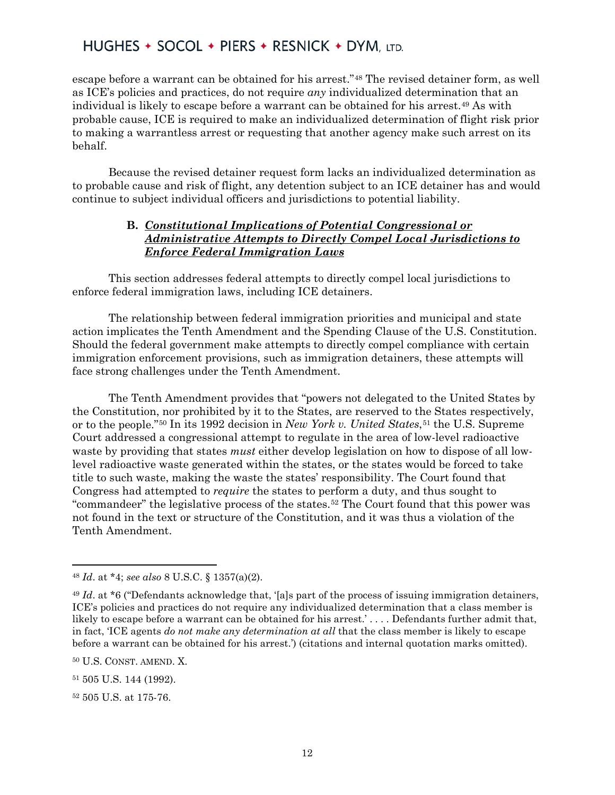escape before a warrant can be obtained for his arrest."[48](#page-11-0) The revised detainer form, as well as ICE's policies and practices, do not require *any* individualized determination that an individual is likely to escape before a warrant can be obtained for his arrest.[49](#page-11-1) As with probable cause, ICE is required to make an individualized determination of flight risk prior to making a warrantless arrest or requesting that another agency make such arrest on its behalf.

Because the revised detainer request form lacks an individualized determination as to probable cause and risk of flight, any detention subject to an ICE detainer has and would continue to subject individual officers and jurisdictions to potential liability.

#### **B.** *Constitutional Implications of Potential Congressional or Administrative Attempts to Directly Compel Local Jurisdictions to Enforce Federal Immigration Laws*

This section addresses federal attempts to directly compel local jurisdictions to enforce federal immigration laws, including ICE detainers.

The relationship between federal immigration priorities and municipal and state action implicates the Tenth Amendment and the Spending Clause of the U.S. Constitution. Should the federal government make attempts to directly compel compliance with certain immigration enforcement provisions, such as immigration detainers, these attempts will face strong challenges under the Tenth Amendment.

The Tenth Amendment provides that "powers not delegated to the United States by the Constitution, nor prohibited by it to the States, are reserved to the States respectively, or to the people."<sup>[50](#page-11-2)</sup> In its 1992 decision in *New York v. United States*,<sup>[51](#page-11-3)</sup> the U.S. Supreme Court addressed a congressional attempt to regulate in the area of low-level radioactive waste by providing that states *must* either develop legislation on how to dispose of all lowlevel radioactive waste generated within the states, or the states would be forced to take title to such waste, making the waste the states' responsibility. The Court found that Congress had attempted to *require* the states to perform a duty, and thus sought to "commandeer" the legislative process of the states.<sup>[52](#page-11-4)</sup> The Court found that this power was not found in the text or structure of the Constitution, and it was thus a violation of the Tenth Amendment.

<span id="page-11-0"></span><sup>48</sup> *Id*. at \*4; *see also* 8 U.S.C. § 1357(a)(2).

<span id="page-11-1"></span><sup>49</sup> *Id*. at \*6 ("Defendants acknowledge that, '[a]s part of the process of issuing immigration detainers, ICE's policies and practices do not require any individualized determination that a class member is likely to escape before a warrant can be obtained for his arrest.'... Defendants further admit that, in fact, 'ICE agents *do not make any determination at all* that the class member is likely to escape before a warrant can be obtained for his arrest.') (citations and internal quotation marks omitted).

<span id="page-11-2"></span><sup>50</sup> U.S. CONST. AMEND. X.

<span id="page-11-3"></span><sup>51</sup> 505 U.S. 144 (1992).

<span id="page-11-4"></span><sup>52</sup> 505 U.S. at 175-76.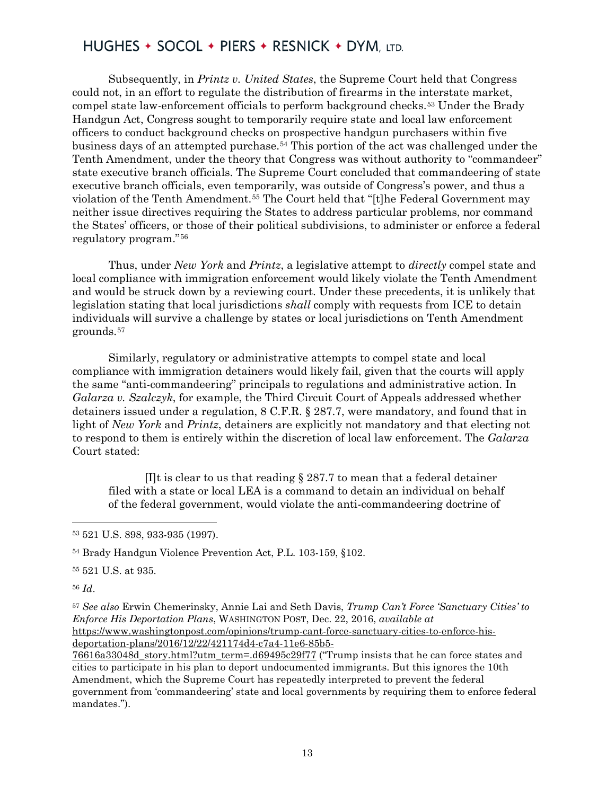Subsequently, in *Printz v. United States*, the Supreme Court held that Congress could not, in an effort to regulate the distribution of firearms in the interstate market, compel state law-enforcement officials to perform background checks.[53](#page-12-0) Under the Brady Handgun Act, Congress sought to temporarily require state and local law enforcement officers to conduct background checks on prospective handgun purchasers within five business days of an attempted purchase.[54](#page-12-1) This portion of the act was challenged under the Tenth Amendment, under the theory that Congress was without authority to "commandeer" state executive branch officials. The Supreme Court concluded that commandeering of state executive branch officials, even temporarily, was outside of Congress's power, and thus a violation of the Tenth Amendment.[55](#page-12-2) The Court held that "[t]he Federal Government may neither issue directives requiring the States to address particular problems, nor command the States' officers, or those of their political subdivisions, to administer or enforce a federal regulatory program."[56](#page-12-3)

Thus, under *New York* and *Printz*, a legislative attempt to *directly* compel state and local compliance with immigration enforcement would likely violate the Tenth Amendment and would be struck down by a reviewing court. Under these precedents, it is unlikely that legislation stating that local jurisdictions *shall* comply with requests from ICE to detain individuals will survive a challenge by states or local jurisdictions on Tenth Amendment grounds.[57](#page-12-4)

Similarly, regulatory or administrative attempts to compel state and local compliance with immigration detainers would likely fail, given that the courts will apply the same "anti-commandeering" principals to regulations and administrative action. In *Galarza v. Szalczyk*, for example, the Third Circuit Court of Appeals addressed whether detainers issued under a regulation, 8 C.F.R. § 287.7, were mandatory, and found that in light of *New York* and *Printz*, detainers are explicitly not mandatory and that electing not to respond to them is entirely within the discretion of local law enforcement. The *Galarza* Court stated:

[I]t is clear to us that reading  $\S 287.7$  to mean that a federal detainer filed with a state or local LEA is a command to detain an individual on behalf of the federal government, would violate the anti-commandeering doctrine of

<span id="page-12-3"></span><sup>56</sup> *Id*.

 $\overline{\phantom{a}}$ 

<span id="page-12-4"></span><sup>57</sup> *See also* Erwin Chemerinsky, Annie Lai and Seth Davis, *Trump Can't Force 'Sanctuary Cities' to Enforce His Deportation Plans*, WASHINGTON POST, Dec. 22, 2016, *available at* [https://www.washingtonpost.com/opinions/trump-cant-force-sanctuary-cities-to-enforce-his](https://www.washingtonpost.com/opinions/trump-cant-force-sanctuary-cities-to-enforce-his-deportation-plans/2016/12/22/421174d4-c7a4-11e6-85b5-76616a33048d_story.html?utm_term=.d69495c29f77)[deportation-plans/2016/12/22/421174d4-c7a4-11e6-85b5-](https://www.washingtonpost.com/opinions/trump-cant-force-sanctuary-cities-to-enforce-his-deportation-plans/2016/12/22/421174d4-c7a4-11e6-85b5-76616a33048d_story.html?utm_term=.d69495c29f77)

[76616a33048d\\_story.html?utm\\_term=.d69495c29f77](https://www.washingtonpost.com/opinions/trump-cant-force-sanctuary-cities-to-enforce-his-deportation-plans/2016/12/22/421174d4-c7a4-11e6-85b5-76616a33048d_story.html?utm_term=.d69495c29f77) ("Trump insists that he can force states and cities to participate in his plan to deport undocumented immigrants. But this ignores the 10th Amendment, which the Supreme Court has repeatedly interpreted to prevent the federal government from 'commandeering' state and local governments by requiring them to enforce federal mandates.").

<span id="page-12-0"></span><sup>53</sup> 521 U.S. 898, 933-935 (1997).

<span id="page-12-1"></span><sup>54</sup> Brady Handgun Violence Prevention Act, P.L. 103-159, §102.

<span id="page-12-2"></span><sup>55</sup> 521 U.S. at 935.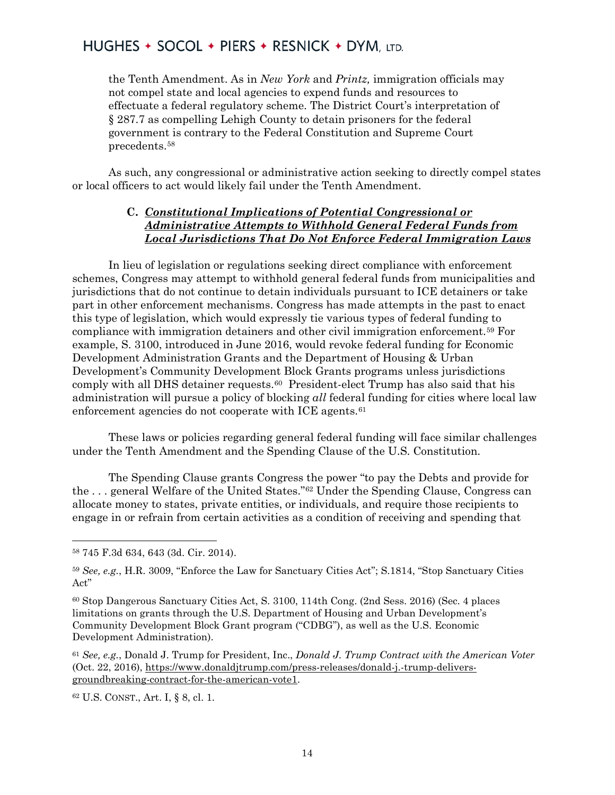the Tenth Amendment. As in *New York* and *Printz,* immigration officials may not compel state and local agencies to expend funds and resources to effectuate a federal regulatory scheme. The District Court's interpretation of § 287.7 as compelling Lehigh County to detain prisoners for the federal government is contrary to the Federal Constitution and Supreme Court precedents.[58](#page-13-0)

As such, any congressional or administrative action seeking to directly compel states or local officers to act would likely fail under the Tenth Amendment.

#### **C.** *Constitutional Implications of Potential Congressional or Administrative Attempts to Withhold General Federal Funds from Local Jurisdictions That Do Not Enforce Federal Immigration Laws*

In lieu of legislation or regulations seeking direct compliance with enforcement schemes, Congress may attempt to withhold general federal funds from municipalities and jurisdictions that do not continue to detain individuals pursuant to ICE detainers or take part in other enforcement mechanisms. Congress has made attempts in the past to enact this type of legislation, which would expressly tie various types of federal funding to compliance with immigration detainers and other civil immigration enforcement[.59](#page-13-1) For example, S. 3100, introduced in June 2016, would revoke federal funding for Economic Development Administration Grants and the Department of Housing & Urban Development's Community Development Block Grants programs unless jurisdictions comply with all DHS detainer requests.<sup>[60](#page-13-2)</sup> President-elect Trump has also said that his administration will pursue a policy of blocking *all* federal funding for cities where local law enforcement agencies do not cooperate with ICE agents.<sup>[61](#page-13-3)</sup>

These laws or policies regarding general federal funding will face similar challenges under the Tenth Amendment and the Spending Clause of the U.S. Constitution.

The Spending Clause grants Congress the power "to pay the Debts and provide for the . . . general Welfare of the United States."[62](#page-13-4) Under the Spending Clause, Congress can allocate money to states, private entities, or individuals, and require those recipients to engage in or refrain from certain activities as a condition of receiving and spending that

 $\overline{\phantom{a}}$ 

<span id="page-13-4"></span><sup>62</sup> U.S. CONST., Art. I, § 8, cl. 1.

<span id="page-13-0"></span><sup>58</sup> 745 F.3d 634, 643 (3d. Cir. 2014).

<span id="page-13-1"></span><sup>59</sup> *See, e.g.*, H.R. 3009, "Enforce the Law for Sanctuary Cities Act"; S.1814, "Stop Sanctuary Cities Act"

<span id="page-13-2"></span><sup>60</sup> Stop Dangerous Sanctuary Cities Act, S. 3100, 114th Cong. (2nd Sess. 2016) (Sec. 4 places limitations on grants through the U.S. Department of Housing and Urban Development's Community Development Block Grant program ("CDBG"), as well as the U.S. Economic Development Administration).

<span id="page-13-3"></span><sup>61</sup> *See, e.g.*, Donald J. Trump for President, Inc., *Donald J. Trump Contract with the American Voter* (Oct. 22, 2016), [https://www.donaldjtrump.com/press-releases/donald-j.-trump-delivers](https://www.donaldjtrump.com/press-releases/donald-j.-trump-delivers-groundbreaking-contract-for-the-american-vote1)[groundbreaking-contract-for-the-american-vote1.](https://www.donaldjtrump.com/press-releases/donald-j.-trump-delivers-groundbreaking-contract-for-the-american-vote1)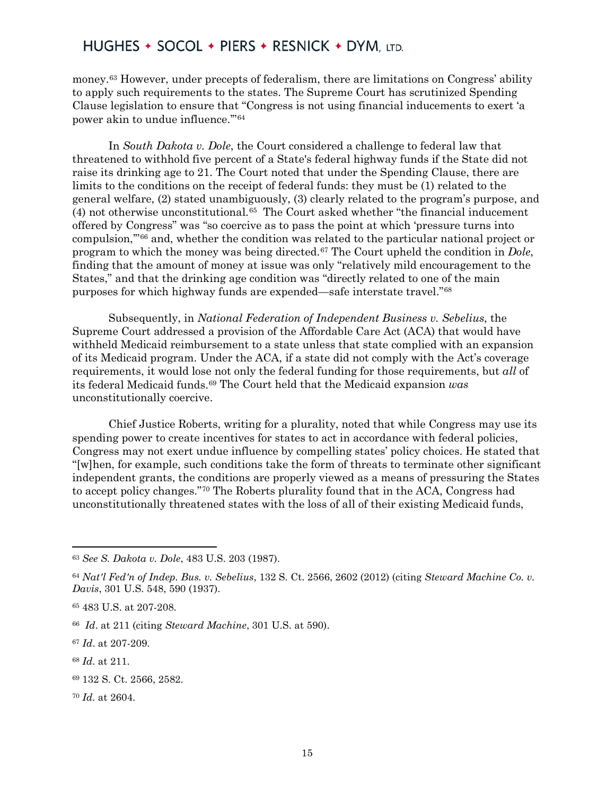money.[63](#page-14-0) However, under precepts of federalism, there are limitations on Congress' ability to apply such requirements to the states. The Supreme Court has scrutinized Spending Clause legislation to ensure that "Congress is not using financial inducements to exert 'a power akin to undue influence.'"[64](#page-14-1)

In *South Dakota v. Dole*, the Court considered a challenge to federal law that threatened to withhold five percent of a State's federal highway funds if the State did not raise its drinking age to 21. The Court noted that under the Spending Clause, there are limits to the conditions on the receipt of federal funds: they must be (1) related to the general welfare, (2) stated unambiguously, (3) clearly related to the program's purpose, and  $(4)$  not otherwise unconstitutional.<sup>65</sup> The Court asked whether "the financial inducement" offered by Congress" was "so coercive as to pass the point at which 'pressure turns into compulsion,'"[66](#page-14-3) and, whether the condition was related to the particular national project or program to which the money was being directed.[67](#page-14-4) The Court upheld the condition in *Dole*, finding that the amount of money at issue was only "relatively mild encouragement to the States," and that the drinking age condition was "directly related to one of the main purposes for which highway funds are expended—safe interstate travel."[68](#page-14-5)

Subsequently, in *National Federation of Independent Business v. Sebelius*, the Supreme Court addressed a provision of the Affordable Care Act (ACA) that would have withheld Medicaid reimbursement to a state unless that state complied with an expansion of its Medicaid program. Under the ACA, if a state did not comply with the Act's coverage requirements, it would lose not only the federal funding for those requirements, but *all* of its federal Medicaid funds.[69](#page-14-6) The Court held that the Medicaid expansion *was* unconstitutionally coercive.

Chief Justice Roberts, writing for a plurality, noted that while Congress may use its spending power to create incentives for states to act in accordance with federal policies, Congress may not exert undue influence by compelling states' policy choices. He stated that "[w]hen, for example, such conditions take the form of threats to terminate other significant independent grants, the conditions are properly viewed as a means of pressuring the States to accept policy changes."[70](#page-14-7) The Roberts plurality found that in the ACA, Congress had unconstitutionally threatened states with the loss of all of their existing Medicaid funds,

 $\overline{\phantom{a}}$ 

<span id="page-14-7"></span><sup>70</sup> *Id.* at 2604.

<span id="page-14-0"></span><sup>63</sup> *See S. Dakota v. Dole*, 483 U.S. 203 (1987).

<span id="page-14-1"></span><sup>64</sup> *Nat'l Fed'n of Indep. Bus. v. Sebelius*, 132 S. Ct. 2566, 2602 (2012) (citing *Steward Machine Co. v. Davis*, 301 U.S. 548, 590 (1937).

<span id="page-14-2"></span><sup>65</sup> 483 U.S. at 207-208.

<span id="page-14-3"></span><sup>66</sup> *Id*. at 211 (citing *Steward Machine*, 301 U.S. at 590).

<span id="page-14-4"></span><sup>67</sup> *Id*. at 207-209.

<span id="page-14-5"></span><sup>68</sup> *Id.* at 211.

<span id="page-14-6"></span><sup>69</sup> 132 S. Ct. 2566, 2582.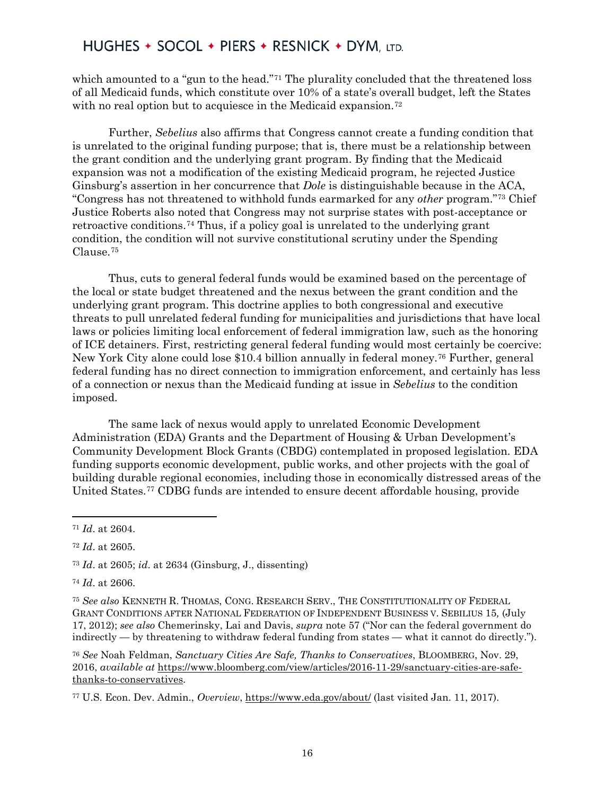which amounted to a "gun to the head."<sup>[71](#page-15-0)</sup> The plurality concluded that the threatened loss of all Medicaid funds, which constitute over 10% of a state's overall budget, left the States with no real option but to acquiesce in the Medicaid expansion.<sup>[72](#page-15-1)</sup>

Further, *Sebelius* also affirms that Congress cannot create a funding condition that is unrelated to the original funding purpose; that is, there must be a relationship between the grant condition and the underlying grant program. By finding that the Medicaid expansion was not a modification of the existing Medicaid program, he rejected Justice Ginsburg's assertion in her concurrence that *Dole* is distinguishable because in the ACA, "Congress has not threatened to withhold funds earmarked for any *other* program."[73](#page-15-2) Chief Justice Roberts also noted that Congress may not surprise states with post-acceptance or retroactive conditions.[74](#page-15-3) Thus, if a policy goal is unrelated to the underlying grant condition, the condition will not survive constitutional scrutiny under the Spending Clause.[75](#page-15-4)

Thus, cuts to general federal funds would be examined based on the percentage of the local or state budget threatened and the nexus between the grant condition and the underlying grant program. This doctrine applies to both congressional and executive threats to pull unrelated federal funding for municipalities and jurisdictions that have local laws or policies limiting local enforcement of federal immigration law, such as the honoring of ICE detainers. First, restricting general federal funding would most certainly be coercive: New York City alone could lose \$10.4 billion annually in federal money.[76](#page-15-5) Further, general federal funding has no direct connection to immigration enforcement, and certainly has less of a connection or nexus than the Medicaid funding at issue in *Sebelius* to the condition imposed.

The same lack of nexus would apply to unrelated Economic Development Administration (EDA) Grants and the Department of Housing & Urban Development's Community Development Block Grants (CBDG) contemplated in proposed legislation. EDA funding supports economic development, public works, and other projects with the goal of building durable regional economies, including those in economically distressed areas of the United States.[77](#page-15-6) CDBG funds are intended to ensure decent affordable housing, provide

<span id="page-15-0"></span><sup>71</sup> *Id*. at 2604.

<span id="page-15-1"></span><sup>72</sup> *Id*. at 2605.

<span id="page-15-2"></span><sup>73</sup> *Id*. at 2605; *id*. at 2634 (Ginsburg, J., dissenting)

<span id="page-15-3"></span><sup>74</sup> *Id*. at 2606.

<span id="page-15-4"></span><sup>75</sup> *See also* KENNETH R. THOMAS, CONG. RESEARCH SERV., THE CONSTITUTIONALITY OF FEDERAL GRANT CONDITIONS AFTER NATIONAL FEDERATION OF INDEPENDENT BUSINESS V. SEBILIUS 15*,* (July 17, 2012); *see also* Chemerinsky, Lai and Davis, *supra* note 57 ("Nor can the federal government do indirectly — by threatening to withdraw federal funding from states — what it cannot do directly.").

<span id="page-15-5"></span><sup>76</sup> *See* Noah Feldman, *Sanctuary Cities Are Safe, Thanks to Conservatives*, BLOOMBERG, Nov. 29, 2016, *available at* [https://www.bloomberg.com/view/articles/2016-11-29/sanctuary-cities-are-safe](https://www.bloomberg.com/view/articles/2016-11-29/sanctuary-cities-are-safe-thanks-to-conservatives)[thanks-to-conservatives.](https://www.bloomberg.com/view/articles/2016-11-29/sanctuary-cities-are-safe-thanks-to-conservatives)

<span id="page-15-6"></span><sup>77</sup> U.S. Econ. Dev. Admin., *Overview*,<https://www.eda.gov/about/> (last visited Jan. 11, 2017).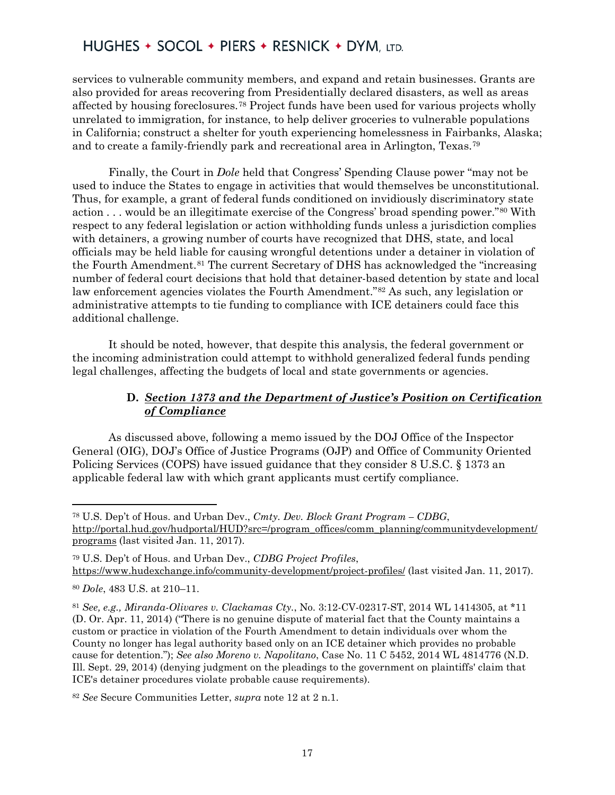services to vulnerable community members, and expand and retain businesses. Grants are also provided for areas recovering from Presidentially declared disasters, as well as areas affected by housing foreclosures.[78](#page-16-0) Project funds have been used for various projects wholly unrelated to immigration, for instance, to help deliver groceries to vulnerable populations in California; construct a shelter for youth experiencing homelessness in Fairbanks, Alaska; and to create a family-friendly park and recreational area in Arlington, Texas.[79](#page-16-1)

Finally, the Court in *Dole* held that Congress' Spending Clause power "may not be used to induce the States to engage in activities that would themselves be unconstitutional. Thus, for example, a grant of federal funds conditioned on invidiously discriminatory state action . . . would be an illegitimate exercise of the Congress' broad spending power."[80](#page-16-2) With respect to any federal legislation or action withholding funds unless a jurisdiction complies with detainers, a growing number of courts have recognized that DHS, state, and local officials may be held liable for causing wrongful detentions under a detainer in violation of the Fourth Amendment.[81](#page-16-3) The current Secretary of DHS has acknowledged the "increasing number of federal court decisions that hold that detainer-based detention by state and local law enforcement agencies violates the Fourth Amendment."[82](#page-16-4) As such, any legislation or administrative attempts to tie funding to compliance with ICE detainers could face this additional challenge.

It should be noted, however, that despite this analysis, the federal government or the incoming administration could attempt to withhold generalized federal funds pending legal challenges, affecting the budgets of local and state governments or agencies.

#### **D.** *Section 1373 and the Department of Justice's Position on Certification of Compliance*

As discussed above, following a memo issued by the DOJ Office of the Inspector General (OIG), DOJ's Office of Justice Programs (OJP) and Office of Community Oriented Policing Services (COPS) have issued guidance that they consider 8 U.S.C. § 1373 an applicable federal law with which grant applicants must certify compliance.

 $\overline{a}$ 

<span id="page-16-0"></span><sup>78</sup> U.S. Dep't of Hous. and Urban Dev., *Cmty. Dev. Block Grant Program – CDBG*, [http://portal.hud.gov/hudportal/HUD?src=/program\\_offices/comm\\_planning/communitydevelopment/](http://portal.hud.gov/hudportal/HUD?src=/program_offices/comm_planning/communitydevelopment/programs) [programs](http://portal.hud.gov/hudportal/HUD?src=/program_offices/comm_planning/communitydevelopment/programs) (last visited Jan. 11, 2017).

<span id="page-16-1"></span><sup>79</sup> U.S. Dep't of Hous. and Urban Dev., *CDBG Project Profiles*, <https://www.hudexchange.info/community-development/project-profiles/> (last visited Jan. 11, 2017).

<span id="page-16-2"></span><sup>80</sup> *Dole*, 483 U.S. at 210–11.

<span id="page-16-3"></span><sup>81</sup> *See, e.g., Miranda-Olivares v. Clackamas Cty.*, No. 3:12-CV-02317-ST, 2014 WL 1414305, at \*11 (D. Or. Apr. 11, 2014) ("There is no genuine dispute of material fact that the County maintains a custom or practice in violation of the Fourth Amendment to detain individuals over whom the County no longer has legal authority based only on an ICE detainer which provides no probable cause for detention."); *See also Moreno v. Napolitano*, Case No. 11 C 5452, 2014 WL 4814776 (N.D. Ill. Sept. 29, 2014) (denying judgment on the pleadings to the government on plaintiffs' claim that ICE's detainer procedures violate probable cause requirements).

<span id="page-16-4"></span><sup>82</sup> *See* Secure Communities Letter, *supra* note 12 at 2 n.1.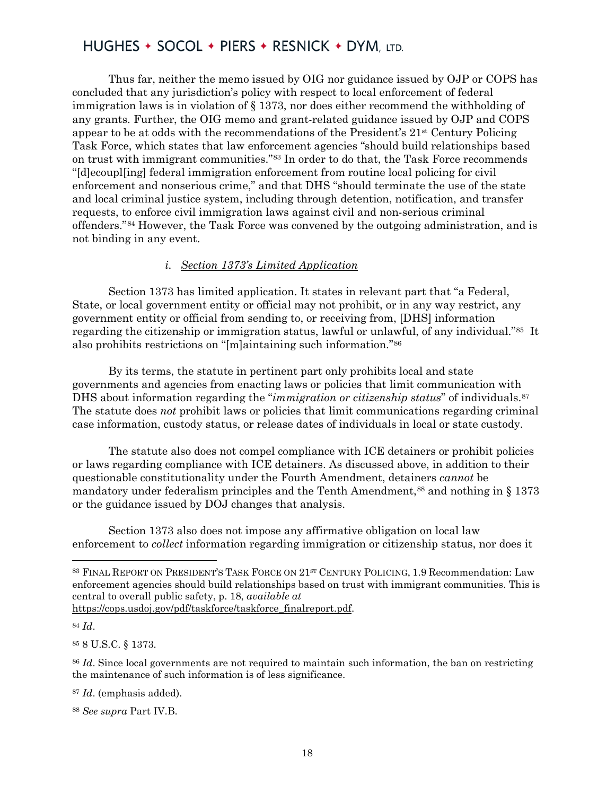Thus far, neither the memo issued by OIG nor guidance issued by OJP or COPS has concluded that any jurisdiction's policy with respect to local enforcement of federal immigration laws is in violation of § 1373, nor does either recommend the withholding of any grants. Further, the OIG memo and grant-related guidance issued by OJP and COPS appear to be at odds with the recommendations of the President's 21st Century Policing Task Force, which states that law enforcement agencies "should build relationships based on trust with immigrant communities."[83](#page-17-0) In order to do that, the Task Force recommends "[d]ecoupl[ing] federal immigration enforcement from routine local policing for civil enforcement and nonserious crime," and that DHS "should terminate the use of the state and local criminal justice system, including through detention, notification, and transfer requests, to enforce civil immigration laws against civil and non-serious criminal offenders."[84](#page-17-1) However, the Task Force was convened by the outgoing administration, and is not binding in any event.

#### *i. Section 1373's Limited Application*

Section 1373 has limited application. It states in relevant part that "a Federal, State, or local government entity or official may not prohibit, or in any way restrict, any government entity or official from sending to, or receiving from, [DHS] information regarding the citizenship or immigration status, lawful or unlawful, of any individual."[85](#page-17-2) It also prohibits restrictions on "[m]aintaining such information."[86](#page-17-3)

By its terms, the statute in pertinent part only prohibits local and state governments and agencies from enacting laws or policies that limit communication with DHS about information regarding the "*immigration or citizenship status*" of individuals.[87](#page-17-4) The statute does *not* prohibit laws or policies that limit communications regarding criminal case information, custody status, or release dates of individuals in local or state custody.

The statute also does not compel compliance with ICE detainers or prohibit policies or laws regarding compliance with ICE detainers. As discussed above, in addition to their questionable constitutionality under the Fourth Amendment, detainers *cannot* be mandatory under federalism principles and the Tenth Amendment,<sup>[88](#page-17-5)</sup> and nothing in  $\S$  1373 or the guidance issued by DOJ changes that analysis.

Section 1373 also does not impose any affirmative obligation on local law enforcement to *collect* information regarding immigration or citizenship status, nor does it

<span id="page-17-1"></span><sup>84</sup> *Id*.

l

<span id="page-17-2"></span><sup>85</sup> 8 U.S.C. § 1373.

<span id="page-17-0"></span><sup>83</sup> FINAL REPORT ON PRESIDENT'S TASK FORCE ON 21<sup>st</sup> CENTURY POLICING, 1.9 Recommendation: Law enforcement agencies should build relationships based on trust with immigrant communities. This is central to overall public safety, p. 18, *available at*

[https://cops.usdoj.gov/pdf/taskforce/taskforce\\_finalreport.pdf.](https://cops.usdoj.gov/pdf/taskforce/taskforce_finalreport.pdf)

<span id="page-17-3"></span><sup>86</sup> *Id*. Since local governments are not required to maintain such information, the ban on restricting the maintenance of such information is of less significance.

<span id="page-17-4"></span><sup>87</sup> *Id*. (emphasis added).

<span id="page-17-5"></span><sup>88</sup> *See supra* Part IV.B.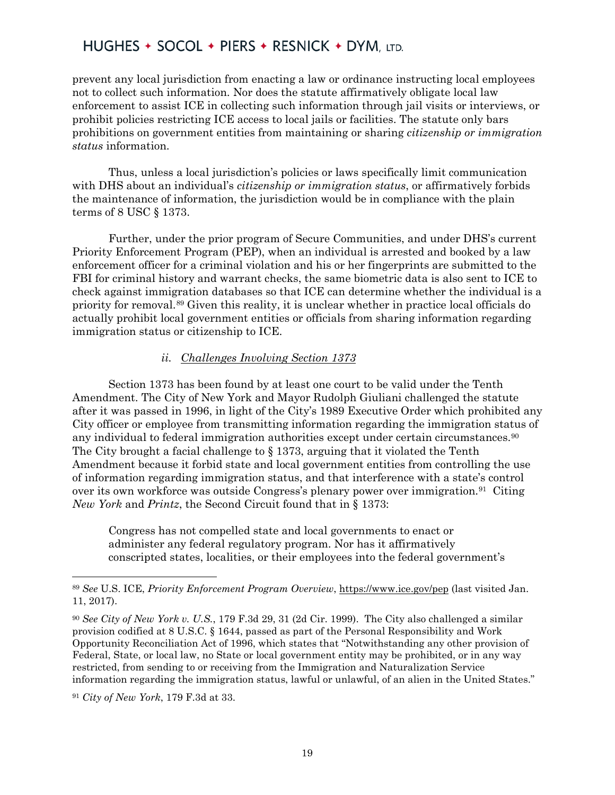prevent any local jurisdiction from enacting a law or ordinance instructing local employees not to collect such information. Nor does the statute affirmatively obligate local law enforcement to assist ICE in collecting such information through jail visits or interviews, or prohibit policies restricting ICE access to local jails or facilities. The statute only bars prohibitions on government entities from maintaining or sharing *citizenship or immigration status* information.

Thus, unless a local jurisdiction's policies or laws specifically limit communication with DHS about an individual's *citizenship or immigration status*, or affirmatively forbids the maintenance of information, the jurisdiction would be in compliance with the plain terms of 8 USC § 1373.

Further, under the prior program of Secure Communities, and under DHS's current Priority Enforcement Program (PEP), when an individual is arrested and booked by a law enforcement officer for a criminal violation and his or her fingerprints are submitted to the FBI for criminal history and warrant checks, the same biometric data is also sent to ICE to check against immigration databases so that ICE can determine whether the individual is a priority for removal.[89](#page-18-0) Given this reality, it is unclear whether in practice local officials do actually prohibit local government entities or officials from sharing information regarding immigration status or citizenship to ICE.

#### *ii. Challenges Involving Section 1373*

Section 1373 has been found by at least one court to be valid under the Tenth Amendment. The City of New York and Mayor Rudolph Giuliani challenged the statute after it was passed in 1996, in light of the City's 1989 Executive Order which prohibited any City officer or employee from transmitting information regarding the immigration status of any individual to federal immigration authorities except under certain circumstances.[90](#page-18-1)  The City brought a facial challenge to § 1373, arguing that it violated the Tenth Amendment because it forbid state and local government entities from controlling the use of information regarding immigration status, and that interference with a state's control over its own workforce was outside Congress's plenary power over immigration.[91](#page-18-2) Citing *New York* and *Printz*, the Second Circuit found that in § 1373:

Congress has not compelled state and local governments to enact or administer any federal regulatory program. Nor has it affirmatively conscripted states, localities, or their employees into the federal government's

<span id="page-18-2"></span><sup>91</sup> *City of New York*, 179 F.3d at 33.

<span id="page-18-0"></span><sup>89</sup> *See* U.S. ICE, *Priority Enforcement Program Overview*,<https://www.ice.gov/pep> (last visited Jan. 11, 2017).

<span id="page-18-1"></span><sup>90</sup> *See City of New York v. U.S.*, 179 F.3d 29, 31 (2d Cir. 1999). The City also challenged a similar provision codified at 8 U.S.C. § 1644, passed as part of the Personal Responsibility and Work Opportunity Reconciliation Act of 1996, which states that "Notwithstanding any other provision of Federal, State, or local law, no State or local government entity may be prohibited, or in any way restricted, from sending to or receiving from the Immigration and Naturalization Service information regarding the immigration status, lawful or unlawful, of an alien in the United States."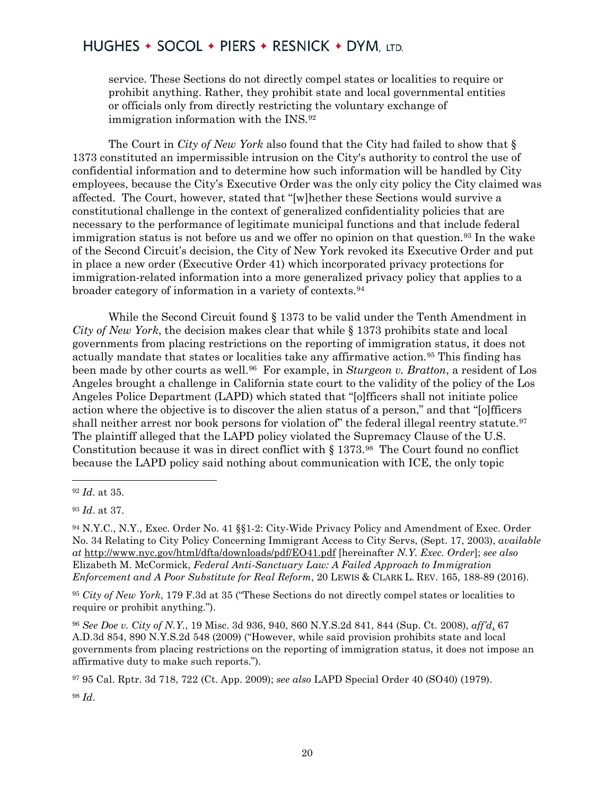service. These Sections do not directly compel states or localities to require or prohibit anything. Rather, they prohibit state and local governmental entities or officials only from directly restricting the voluntary exchange of immigration information with the INS.[92](#page-19-0)

The Court in *City of New York* also found that the City had failed to show that § 1373 constituted an impermissible intrusion on the City's authority to control the use of confidential information and to determine how such information will be handled by City employees, because the City's Executive Order was the only city policy the City claimed was affected. The Court, however, stated that "[w]hether these Sections would survive a constitutional challenge in the context of generalized confidentiality policies that are necessary to the performance of legitimate municipal functions and that include federal immigration status is not before us and we offer no opinion on that question.<sup>[93](#page-19-1)</sup> In the wake of the Second Circuit's decision, the City of New York revoked its Executive Order and put in place a new order (Executive Order 41) which incorporated privacy protections for immigration-related information into a more generalized privacy policy that applies to a broader category of information in a variety of contexts.[94](#page-19-2)

While the Second Circuit found § 1373 to be valid under the Tenth Amendment in *City of New York*, the decision makes clear that while § 1373 prohibits state and local governments from placing restrictions on the reporting of immigration status, it does not actually mandate that states or localities take any affirmative action.[95](#page-19-3) This finding has been made by other courts as well.[96](#page-19-4) For example, in *Sturgeon v. Bratton*, a resident of Los Angeles brought a challenge in California state court to the validity of the policy of the Los Angeles Police Department (LAPD) which stated that "[o]fficers shall not initiate police action where the objective is to discover the alien status of a person," and that "[o]fficers shall neither arrest nor book persons for violation of" the federal illegal reentry statute.<sup>[97](#page-19-5)</sup> The plaintiff alleged that the LAPD policy violated the Supremacy Clause of the U.S. Constitution because it was in direct conflict with § 1373.[98](#page-19-6) The Court found no conflict because the LAPD policy said nothing about communication with ICE, the only topic

 $\overline{a}$ 

<span id="page-19-3"></span><sup>95</sup> *City of New York*, 179 F.3d at 35 ("These Sections do not directly compel states or localities to require or prohibit anything.").

<span id="page-19-4"></span><sup>96</sup> *See Doe v. City of N.Y.*, 19 Misc. 3d 936, 940, 860 N.Y.S.2d 841, 844 (Sup. Ct. 2008), *aff'd*, 67 A.D.3d 854, 890 N.Y.S.2d 548 (2009) ("However, while said provision prohibits state and local governments from placing restrictions on the reporting of immigration status, it does not impose an affirmative duty to make such reports.").

<span id="page-19-5"></span><sup>97</sup> 95 Cal. Rptr. 3d 718, 722 (Ct. App. 2009); *see also* LAPD Special Order 40 (SO40) (1979).

<span id="page-19-6"></span><sup>98</sup> *Id*.

<span id="page-19-0"></span><sup>92</sup> *Id*. at 35.

<span id="page-19-1"></span><sup>93</sup> *Id*. at 37.

<span id="page-19-2"></span><sup>94</sup> N.Y.C., N.Y., Exec. Order No. 41 §§1-2: City-Wide Privacy Policy and Amendment of Exec. Order No. 34 Relating to City Policy Concerning Immigrant Access to City Servs, (Sept. 17, 2003), *available at* <http://www.nyc.gov/html/dfta/downloads/pdf/EO41.pdf> [hereinafter *N.Y. Exec. Order*]; *see also* Elizabeth M. McCormick, *Federal Anti-Sanctuary Law: A Failed Approach to Immigration Enforcement and A Poor Substitute for Real Reform*, 20 LEWIS & CLARK L. REV. 165, 188-89 (2016).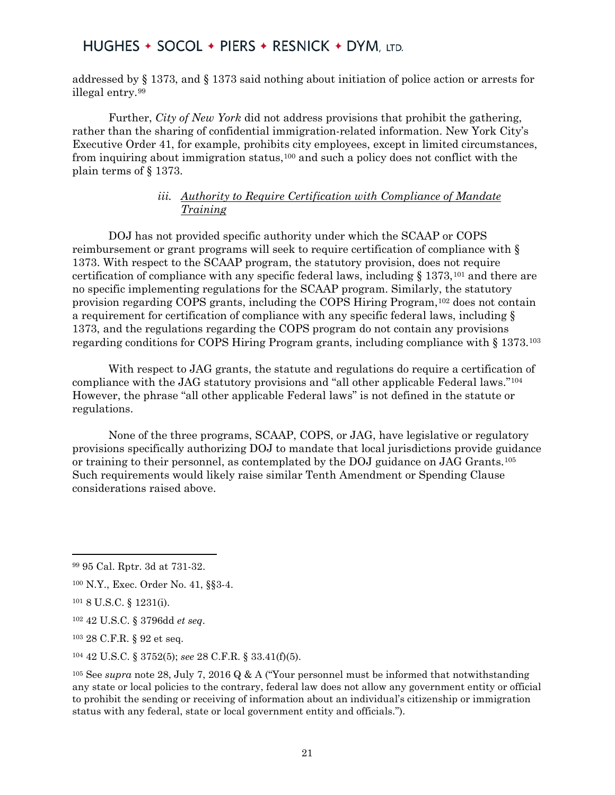addressed by § 1373, and § 1373 said nothing about initiation of police action or arrests for illegal entry.[99](#page-20-0)

Further, *City of New York* did not address provisions that prohibit the gathering, rather than the sharing of confidential immigration-related information. New York City's Executive Order 41, for example, prohibits city employees, except in limited circumstances, from inquiring about immigration status,[100](#page-20-1) and such a policy does not conflict with the plain terms of § 1373.

#### *iii. Authority to Require Certification with Compliance of Mandate Training*

DOJ has not provided specific authority under which the SCAAP or COPS reimbursement or grant programs will seek to require certification of compliance with § 1373. With respect to the SCAAP program, the statutory provision, does not require certification of compliance with any specific federal laws, including  $\S 1373$ , <sup>[101](#page-20-2)</sup> and there are no specific implementing regulations for the SCAAP program. Similarly, the statutory provision regarding COPS grants, including the COPS Hiring Program,[102](#page-20-3) does not contain a requirement for certification of compliance with any specific federal laws, including § 1373, and the regulations regarding the COPS program do not contain any provisions regarding conditions for COPS Hiring Program grants, including compliance with § 1373.[103](#page-20-4)

With respect to JAG grants, the statute and regulations do require a certification of compliance with the JAG statutory provisions and "all other applicable Federal laws."[104](#page-20-5) However, the phrase "all other applicable Federal laws" is not defined in the statute or regulations.

None of the three programs, SCAAP, COPS, or JAG, have legislative or regulatory provisions specifically authorizing DOJ to mandate that local jurisdictions provide guidance or training to their personnel, as contemplated by the DOJ guidance on JAG Grants.[105](#page-20-6)  Such requirements would likely raise similar Tenth Amendment or Spending Clause considerations raised above.

l

<span id="page-20-0"></span><sup>99</sup> 95 Cal. Rptr. 3d at 731-32.

<span id="page-20-1"></span><sup>100</sup> N.Y., Exec. Order No. 41, §§3-4.

<span id="page-20-2"></span><sup>101</sup> 8 U.S.C. § 1231(i).

<span id="page-20-3"></span><sup>102</sup> 42 U.S.C. § 3796dd *et seq*.

<span id="page-20-4"></span><sup>103</sup> 28 C.F.R. § 92 et seq.

<span id="page-20-5"></span><sup>104</sup> 42 U.S.C. § 3752(5); *see* 28 C.F.R. § 33.41(f)(5).

<span id="page-20-6"></span><sup>105</sup> See *supra* note 28, July 7, 2016 Q & A ("Your personnel must be informed that notwithstanding any state or local policies to the contrary, federal law does not allow any government entity or official to prohibit the sending or receiving of information about an individual's citizenship or immigration status with any federal, state or local government entity and officials.").